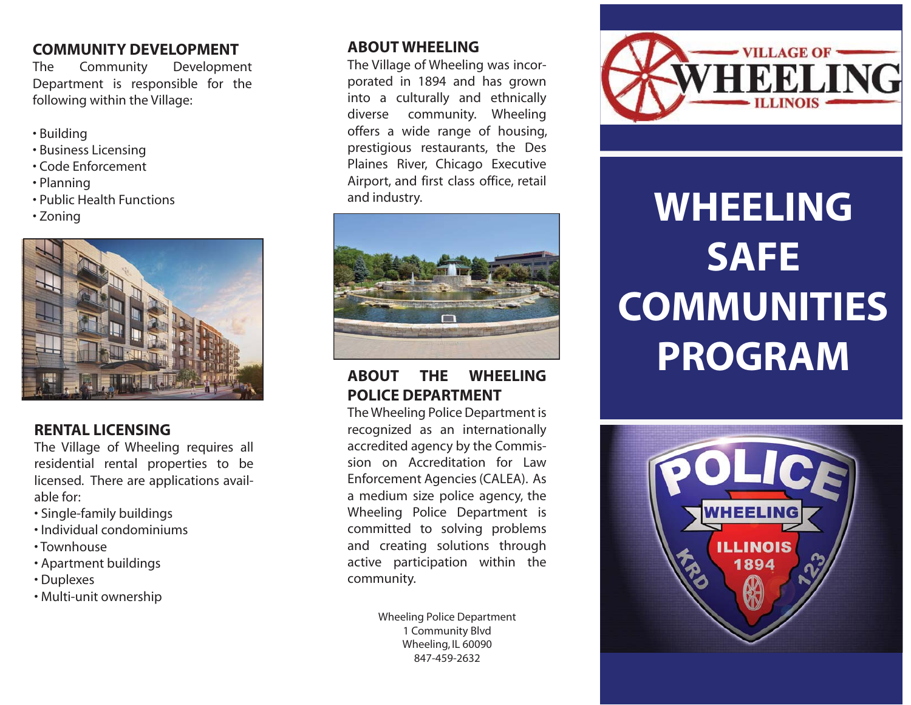### **COMMUNITY DEVELOPMENT**

The Community Development Department is responsible for the following within the Village:

- Building
- Business Licensing
- Code Enforcement
- Planning
- Public Health Functions
- Zoning



### **RENTAL LICENSING**

The Village of Wheeling requires all residential rental properties to be licensed. There are applications available for:

- Single-family buildings
- Individual condominiums
- Townhouse
- Apartment buildings
- Duplexes
- Multi-unit ownership

### **ABOUT WHEELING**

The Village of Wheeling was incorporated in 1894 and has grown into a culturally and ethnically diverse community. Wheeling offers a wide range of housing, prestigious restaurants, the Des Plaines River, Chicago Executive Airport, and first class office, retail and industry.



## **ABOUT THE WHEELING POLICE DEPARTMENT**

The Wheeling Police Department is recognized as an internationally accredited agency by the Commission on Accreditation for Law Enforcement Agencies (CALEA). As a medium size police agency, the Wheeling Police Department is committed to solving problems and creating solutions through active participation within the community.

> Wheeling Police Department 1 Community Blvd Wheeling, IL 60090 847-459-2632



# **WHEELING SAFE COMMUNITIES PROGRAM**